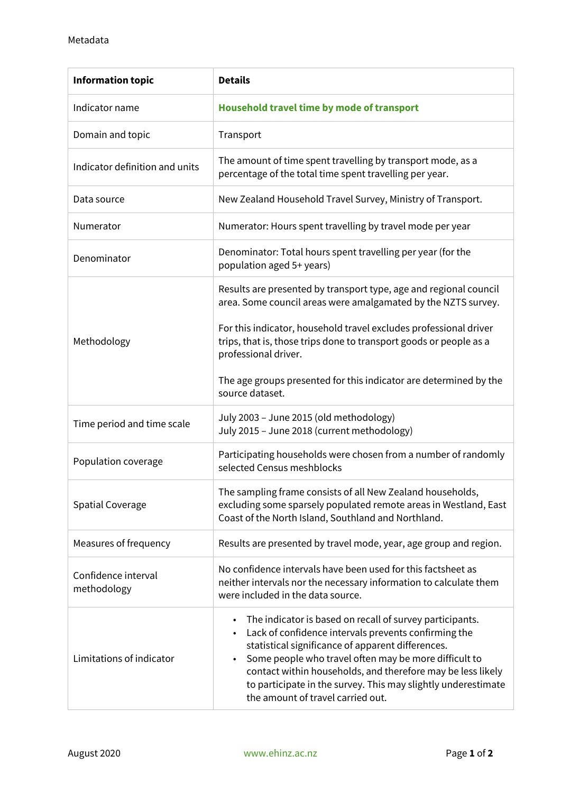| <b>Information topic</b>           | <b>Details</b>                                                                                                                                                                                                                                                                                                                                                                                      |
|------------------------------------|-----------------------------------------------------------------------------------------------------------------------------------------------------------------------------------------------------------------------------------------------------------------------------------------------------------------------------------------------------------------------------------------------------|
| Indicator name                     | Household travel time by mode of transport                                                                                                                                                                                                                                                                                                                                                          |
| Domain and topic                   | Transport                                                                                                                                                                                                                                                                                                                                                                                           |
| Indicator definition and units     | The amount of time spent travelling by transport mode, as a<br>percentage of the total time spent travelling per year.                                                                                                                                                                                                                                                                              |
| Data source                        | New Zealand Household Travel Survey, Ministry of Transport.                                                                                                                                                                                                                                                                                                                                         |
| Numerator                          | Numerator: Hours spent travelling by travel mode per year                                                                                                                                                                                                                                                                                                                                           |
| Denominator                        | Denominator: Total hours spent travelling per year (for the<br>population aged 5+ years)                                                                                                                                                                                                                                                                                                            |
| Methodology                        | Results are presented by transport type, age and regional council<br>area. Some council areas were amalgamated by the NZTS survey.                                                                                                                                                                                                                                                                  |
|                                    | For this indicator, household travel excludes professional driver<br>trips, that is, those trips done to transport goods or people as a<br>professional driver.                                                                                                                                                                                                                                     |
|                                    | The age groups presented for this indicator are determined by the<br>source dataset.                                                                                                                                                                                                                                                                                                                |
| Time period and time scale         | July 2003 - June 2015 (old methodology)<br>July 2015 - June 2018 (current methodology)                                                                                                                                                                                                                                                                                                              |
| Population coverage                | Participating households were chosen from a number of randomly<br>selected Census meshblocks                                                                                                                                                                                                                                                                                                        |
| <b>Spatial Coverage</b>            | The sampling frame consists of all New Zealand households,<br>excluding some sparsely populated remote areas in Westland, East<br>Coast of the North Island, Southland and Northland.                                                                                                                                                                                                               |
| Measures of frequency              | Results are presented by travel mode, year, age group and region.                                                                                                                                                                                                                                                                                                                                   |
| Confidence interval<br>methodology | No confidence intervals have been used for this factsheet as<br>neither intervals nor the necessary information to calculate them<br>were included in the data source.                                                                                                                                                                                                                              |
| Limitations of indicator           | The indicator is based on recall of survey participants.<br>Lack of confidence intervals prevents confirming the<br>statistical significance of apparent differences.<br>Some people who travel often may be more difficult to<br>contact within households, and therefore may be less likely<br>to participate in the survey. This may slightly underestimate<br>the amount of travel carried out. |